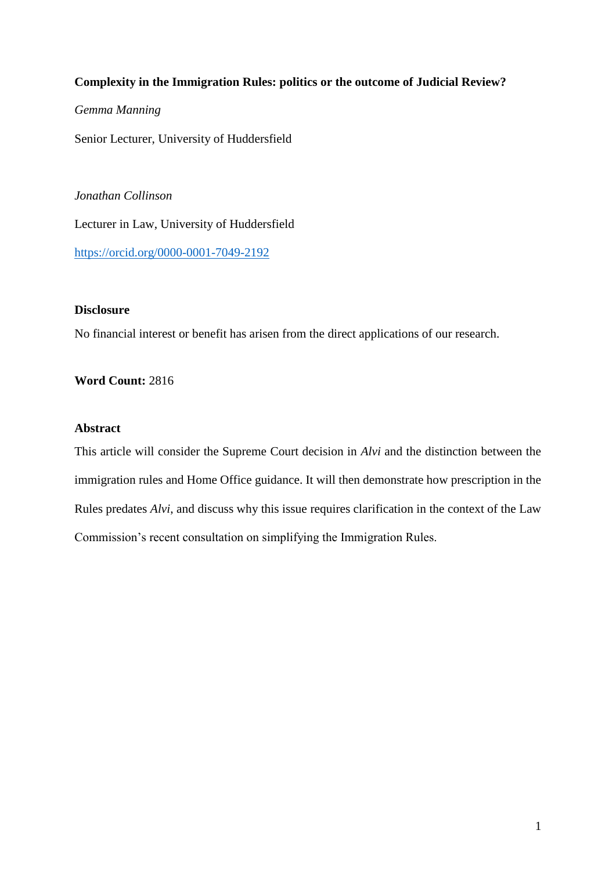# **Complexity in the Immigration Rules: politics or the outcome of Judicial Review?**

# *Gemma Manning*

Senior Lecturer, University of Huddersfield

*Jonathan Collinson* Lecturer in Law, University of Huddersfield <https://orcid.org/0000-0001-7049-2192>

## **Disclosure**

No financial interest or benefit has arisen from the direct applications of our research.

## **Word Count:** 2816

# **Abstract**

This article will consider the Supreme Court decision in *Alvi* and the distinction between the immigration rules and Home Office guidance. It will then demonstrate how prescription in the Rules predates *Alvi*, and discuss why this issue requires clarification in the context of the Law Commission's recent consultation on simplifying the Immigration Rules.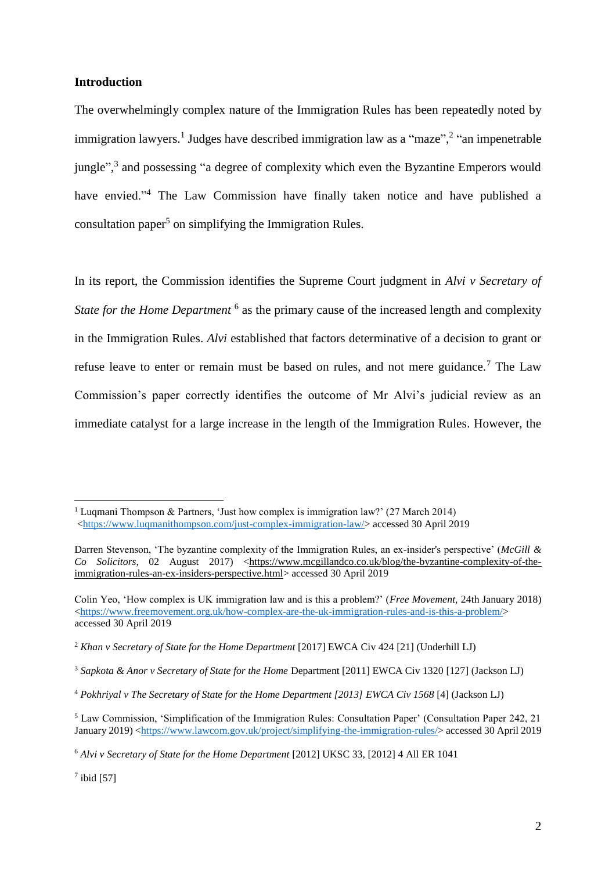#### **Introduction**

The overwhelmingly complex nature of the Immigration Rules has been repeatedly noted by immigration lawyers.<sup>1</sup> Judges have described immigration law as a "maze",<sup>2</sup> "an impenetrable jungle",<sup>3</sup> and possessing "a degree of complexity which even the Byzantine Emperors would have envied."<sup>4</sup> The Law Commission have finally taken notice and have published a consultation paper<sup>5</sup> on simplifying the Immigration Rules.

In its report, the Commission identifies the Supreme Court judgment in *Alvi v Secretary of*  State for the Home Department<sup>6</sup> as the primary cause of the increased length and complexity in the Immigration Rules. *Alvi* established that factors determinative of a decision to grant or refuse leave to enter or remain must be based on rules, and not mere guidance.<sup>7</sup> The Law Commission's paper correctly identifies the outcome of Mr Alvi's judicial review as an immediate catalyst for a large increase in the length of the Immigration Rules. However, the

 $7$  ibid [57]

<sup>&</sup>lt;sup>1</sup> Luqmani Thompson & Partners, 'Just how complex is immigration law?' (27 March 2014) [<https://www.luqmanithompson.com/just-complex-immigration-law/>](https://www.luqmanithompson.com/just-complex-immigration-law/) accessed 30 April 2019

Darren Stevenson, 'The byzantine complexity of the Immigration Rules, an ex-insider's perspective' (*McGill & Co* Solicitors, 02 August 2017) [<https://www.mcgillandco.co.uk/blog/the-byzantine-complexity-of-the](https://www.mcgillandco.co.uk/blog/the-byzantine-complexity-of-the-immigration-rules-an-ex-insiders-perspective.html)[immigration-rules-an-ex-insiders-perspective.html>](https://www.mcgillandco.co.uk/blog/the-byzantine-complexity-of-the-immigration-rules-an-ex-insiders-perspective.html) accessed 30 April 2019

Colin Yeo, 'How complex is UK immigration law and is this a problem?' (*Free Movement,* 24th January 2018) [<https://www.freemovement.org.uk/how-complex-are-the-uk-immigration-rules-and-is-this-a-problem/>](https://www.freemovement.org.uk/how-complex-are-the-uk-immigration-rules-and-is-this-a-problem/) accessed 30 April 2019

<sup>2</sup> *Khan v Secretary of State for the Home Department* [2017] EWCA Civ 424 [21] (Underhill LJ)

<sup>3</sup> *Sapkota & Anor v Secretary of State for the Home* Department [2011] EWCA Civ 1320 [127] (Jackson LJ)

<sup>4</sup> *Pokhriyal v The Secretary of State for the Home Department [2013] EWCA Civ 1568* [4] (Jackson LJ)

<sup>5</sup> Law Commission, 'Simplification of the Immigration Rules: Consultation Paper' (Consultation Paper 242, 21 January 2019) [<https://www.lawcom.gov.uk/project/simplifying-the-immigration-rules/>](https://www.lawcom.gov.uk/project/simplifying-the-immigration-rules/) accessed 30 April 2019

<sup>6</sup> *Alvi v Secretary of State for the Home Department* [2012] UKSC 33, [2012] 4 All ER 1041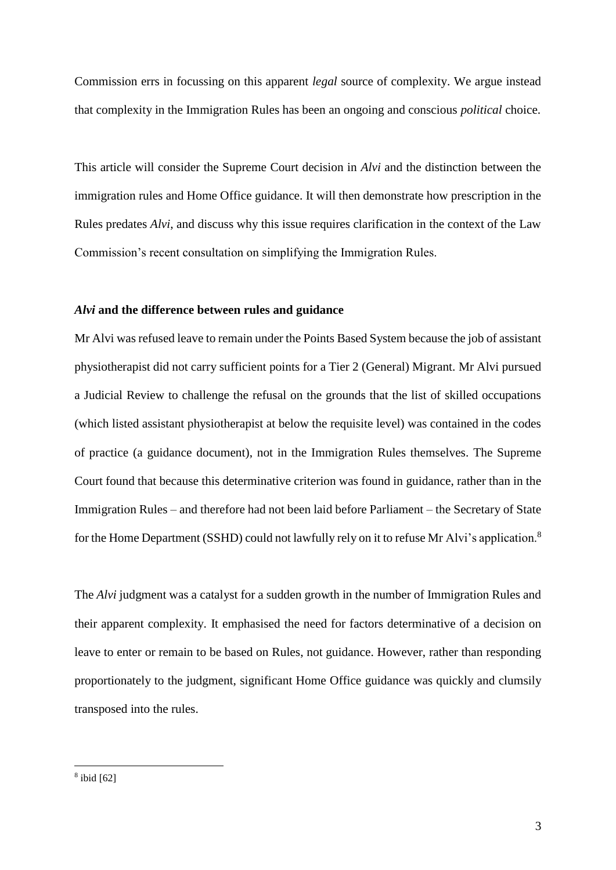Commission errs in focussing on this apparent *legal* source of complexity. We argue instead that complexity in the Immigration Rules has been an ongoing and conscious *political* choice.

This article will consider the Supreme Court decision in *Alvi* and the distinction between the immigration rules and Home Office guidance. It will then demonstrate how prescription in the Rules predates *Alvi*, and discuss why this issue requires clarification in the context of the Law Commission's recent consultation on simplifying the Immigration Rules.

## *Alvi* **and the difference between rules and guidance**

Mr Alvi was refused leave to remain under the Points Based System because the job of assistant physiotherapist did not carry sufficient points for a Tier 2 (General) Migrant. Mr Alvi pursued a Judicial Review to challenge the refusal on the grounds that the list of skilled occupations (which listed assistant physiotherapist at below the requisite level) was contained in the codes of practice (a guidance document), not in the Immigration Rules themselves. The Supreme Court found that because this determinative criterion was found in guidance, rather than in the Immigration Rules – and therefore had not been laid before Parliament – the Secretary of State for the Home Department (SSHD) could not lawfully rely on it to refuse Mr Alvi's application.<sup>8</sup>

The *Alvi* judgment was a catalyst for a sudden growth in the number of Immigration Rules and their apparent complexity. It emphasised the need for factors determinative of a decision on leave to enter or remain to be based on Rules, not guidance. However, rather than responding proportionately to the judgment, significant Home Office guidance was quickly and clumsily transposed into the rules.

<sup>8</sup> ibid [62]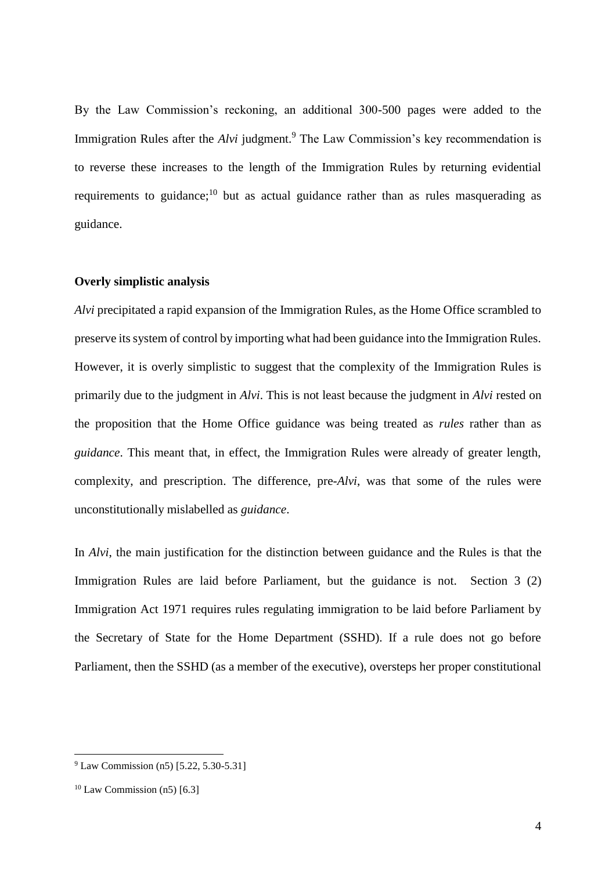By the Law Commission's reckoning, an additional 300-500 pages were added to the Immigration Rules after the *Alvi* judgment.<sup>9</sup> The Law Commission's key recommendation is to reverse these increases to the length of the Immigration Rules by returning evidential requirements to guidance;<sup>10</sup> but as actual guidance rather than as rules masquerading as guidance.

### **Overly simplistic analysis**

*Alvi* precipitated a rapid expansion of the Immigration Rules, as the Home Office scrambled to preserve its system of control by importing what had been guidance into the Immigration Rules. However, it is overly simplistic to suggest that the complexity of the Immigration Rules is primarily due to the judgment in *Alvi*. This is not least because the judgment in *Alvi* rested on the proposition that the Home Office guidance was being treated as *rules* rather than as *guidance*. This meant that, in effect, the Immigration Rules were already of greater length, complexity, and prescription. The difference, pre-*Alvi*, was that some of the rules were unconstitutionally mislabelled as *guidance*.

In *Alvi*, the main justification for the distinction between guidance and the Rules is that the Immigration Rules are laid before Parliament, but the guidance is not. Section 3 (2) Immigration Act 1971 requires rules regulating immigration to be laid before Parliament by the Secretary of State for the Home Department (SSHD). If a rule does not go before Parliament, then the SSHD (as a member of the executive), oversteps her proper constitutional

<sup>9</sup> Law Commission (n5) [5.22, 5.30-5.31]

 $10$  Law Commission (n5) [6.3]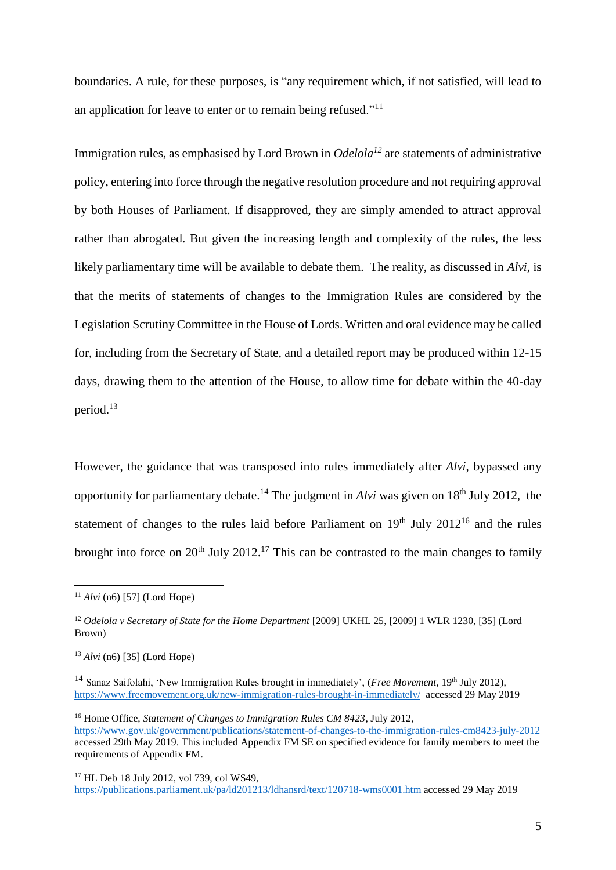boundaries. A rule, for these purposes, is "any requirement which, if not satisfied, will lead to an application for leave to enter or to remain being refused."<sup>11</sup>

Immigration rules, as emphasised by Lord Brown in *Odelola<sup>12</sup>* are statements of administrative policy, entering into force through the negative resolution procedure and not requiring approval by both Houses of Parliament. If disapproved, they are simply amended to attract approval rather than abrogated. But given the increasing length and complexity of the rules, the less likely parliamentary time will be available to debate them. The reality, as discussed in *Alvi*, is that the merits of statements of changes to the Immigration Rules are considered by the Legislation Scrutiny Committee in the House of Lords. Written and oral evidence may be called for, including from the Secretary of State, and a detailed report may be produced within 12-15 days, drawing them to the attention of the House, to allow time for debate within the 40-day period.<sup>13</sup>

However, the guidance that was transposed into rules immediately after *Alvi*, bypassed any opportunity for parliamentary debate.<sup>14</sup> The judgment in *Alvi* was given on 18<sup>th</sup> July 2012, the statement of changes to the rules laid before Parliament on  $19<sup>th</sup>$  July  $2012<sup>16</sup>$  and the rules brought into force on  $20^{th}$  July  $2012^{17}$  This can be contrasted to the main changes to family

 $11$  *Alvi* (n6) [57] (Lord Hope)

<sup>12</sup> *Odelola v Secretary of State for the Home Department* [\[2009\] UKHL 25,](https://www.ein.org.uk/members/case/odelola-fc-appellant-v-secretary-state-home-department-respondent-ukhl-25) [2009] 1 WLR 1230, [35] (Lord Brown)

<sup>13</sup> *Alvi* (n6) [35] (Lord Hope)

<sup>&</sup>lt;sup>14</sup> Sanaz Saifolahi, 'New Immigration Rules brought in immediately', (*Free Movement*, 19<sup>th</sup> July 2012), <https://www.freemovement.org.uk/new-immigration-rules-brought-in-immediately/>accessed 29 May 2019

<sup>16</sup> Home Office, *Statement of Changes to Immigration Rules CM 8423*, July 2012, <https://www.gov.uk/government/publications/statement-of-changes-to-the-immigration-rules-cm8423-july-2012> accessed 29th May 2019. This included Appendix FM SE on specified evidence for family members to meet the requirements of Appendix FM.

<sup>&</sup>lt;sup>17</sup> HL Deb 18 July 2012, vol 739, col WS49, <https://publications.parliament.uk/pa/ld201213/ldhansrd/text/120718-wms0001.htm> accessed 29 May 2019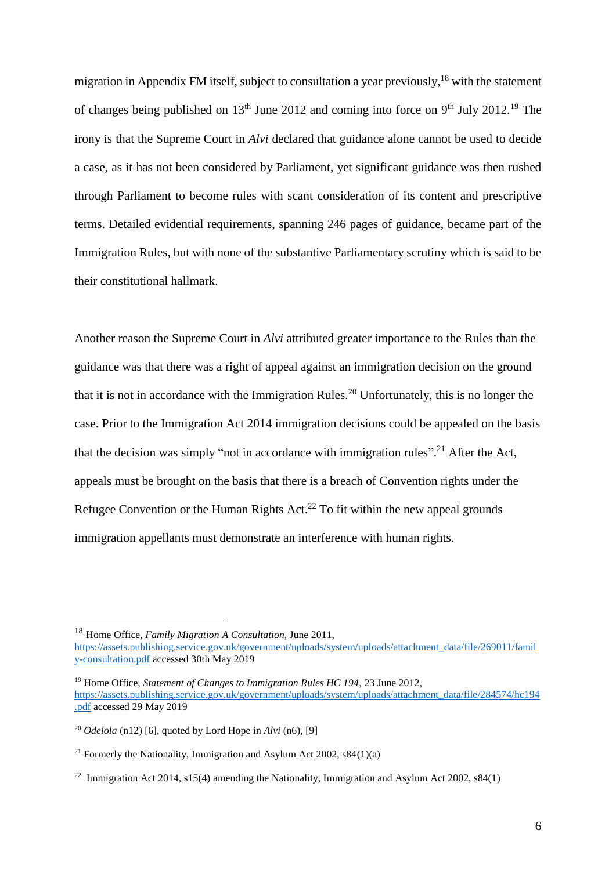migration in Appendix FM itself, subject to consultation a year previously,<sup>18</sup> with the statement of changes being published on  $13<sup>th</sup>$  June 2012 and coming into force on 9<sup>th</sup> July 2012.<sup>19</sup> The irony is that the Supreme Court in *Alvi* declared that guidance alone cannot be used to decide a case, as it has not been considered by Parliament, yet significant guidance was then rushed through Parliament to become rules with scant consideration of its content and prescriptive terms. Detailed evidential requirements, spanning 246 pages of guidance, became part of the Immigration Rules, but with none of the substantive Parliamentary scrutiny which is said to be their constitutional hallmark.

Another reason the Supreme Court in *Alvi* attributed greater importance to the Rules than the guidance was that there was a right of appeal against an immigration decision on the ground that it is not in accordance with the Immigration Rules.<sup>20</sup> Unfortunately, this is no longer the case. Prior to the Immigration Act 2014 immigration decisions could be appealed on the basis that the decision was simply "not in accordance with immigration rules".<sup>21</sup> After the Act, appeals must be brought on the basis that there is a breach of Convention rights under the Refugee Convention or the Human Rights  $Act.^{22}$  To fit within the new appeal grounds immigration appellants must demonstrate an interference with human rights.

<sup>18</sup> Home Office, *Family Migration A Consultation*, June 2011,

[https://assets.publishing.service.gov.uk/government/uploads/system/uploads/attachment\\_data/file/269011/famil](https://assets.publishing.service.gov.uk/government/uploads/system/uploads/attachment_data/file/269011/family-consultation.pdf) [y-consultation.pdf](https://assets.publishing.service.gov.uk/government/uploads/system/uploads/attachment_data/file/269011/family-consultation.pdf) accessed 30th May 2019

<sup>19</sup> Home Office, *Statement of Changes to Immigration Rules HC 194*, 23 June 2012, [https://assets.publishing.service.gov.uk/government/uploads/system/uploads/attachment\\_data/file/284574/hc194](https://assets.publishing.service.gov.uk/government/uploads/system/uploads/attachment_data/file/284574/hc194.pdf) [.pdf](https://assets.publishing.service.gov.uk/government/uploads/system/uploads/attachment_data/file/284574/hc194.pdf) accessed 29 May 2019

<sup>&</sup>lt;sup>20</sup> *Odelola* (n12) [6], quoted by Lord Hope in  $Alvi$  [\(n6\),](http://www.bailii.org/uk/cases/UKSC/2012/33.html) [9]

<sup>&</sup>lt;sup>21</sup> Formerly the Nationality, Immigration and Asylum Act 2002,  $s84(1)(a)$ 

<sup>&</sup>lt;sup>22</sup> Immigration Act 2014, s15(4) amending the Nationality, Immigration and Asylum Act 2002, s84(1)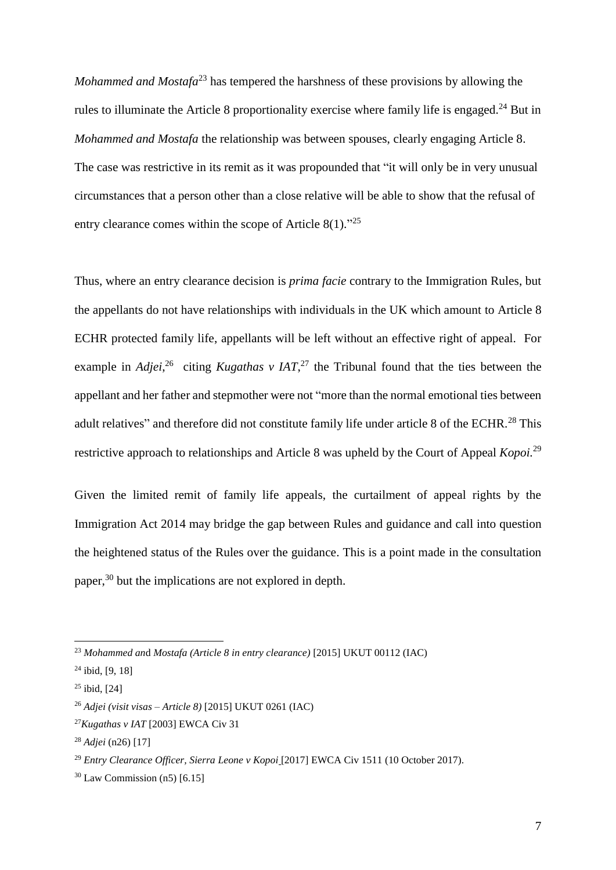*Mohammed and Mostafa*<sup>23</sup> has tempered the harshness of these provisions by allowing the rules to illuminate the Article 8 proportionality exercise where family life is engaged.<sup>24</sup> But in *Mohammed and Mostafa* the relationship was between spouses, clearly engaging Article 8. The case was restrictive in its remit as it was propounded that "it will only be in very unusual circumstances that a person other than a close relative will be able to show that the refusal of entry clearance comes within the scope of Article  $8(1)$ ."<sup>25</sup>

Thus, where an entry clearance decision is *prima facie* contrary to the Immigration Rules, but the appellants do not have relationships with individuals in the UK which amount to Article 8 ECHR protected family life, appellants will be left without an effective right of appeal. For example in *Adjei*<sup>26</sup> citing *Kugathas v IAT*<sup>27</sup> the Tribunal found that the ties between the appellant and her father and stepmother were not "more than the normal emotional ties between adult relatives" and therefore did not constitute family life under article 8 of the ECHR.<sup>28</sup> This restrictive approach to relationships and Article 8 was upheld by the Court of Appeal *Kopoi.*<sup>29</sup>

Given the limited remit of family life appeals, the curtailment of appeal rights by the Immigration Act 2014 may bridge the gap between Rules and guidance and call into question the heightened status of the Rules over the guidance. This is a point made in the consultation paper,<sup>30</sup> but the implications are not explored in depth.

<sup>23</sup> *Mohammed an*d *Mostafa (Article 8 in entry clearance)* [2015] UKUT 00112 (IAC)

 $24$  ibid, [9, 18]

 $25$  ibid, [24]

<sup>26</sup> *Adjei (visit visas – Article 8)* [2015] UKUT 0261 (IAC)

<sup>27</sup>*Kugathas v IAT* [\[2003\] EWCA Civ 31](http://www.ein.org.uk/members/case/kugathas-v-secretary-state-home-department-2003-ewca-civ-31)

<sup>28</sup> *Adjei* (n26) [17]

<sup>29</sup> *Entry [Clearance](http://www.bailii.org/ew/cases/EWCA/Civ/2017/1511.html) Officer, Sierra Leone v Kopoi* [2017] EWCA Civ 1511 (10 October 2017).

 $30$  Law Commission (n5) [6.15]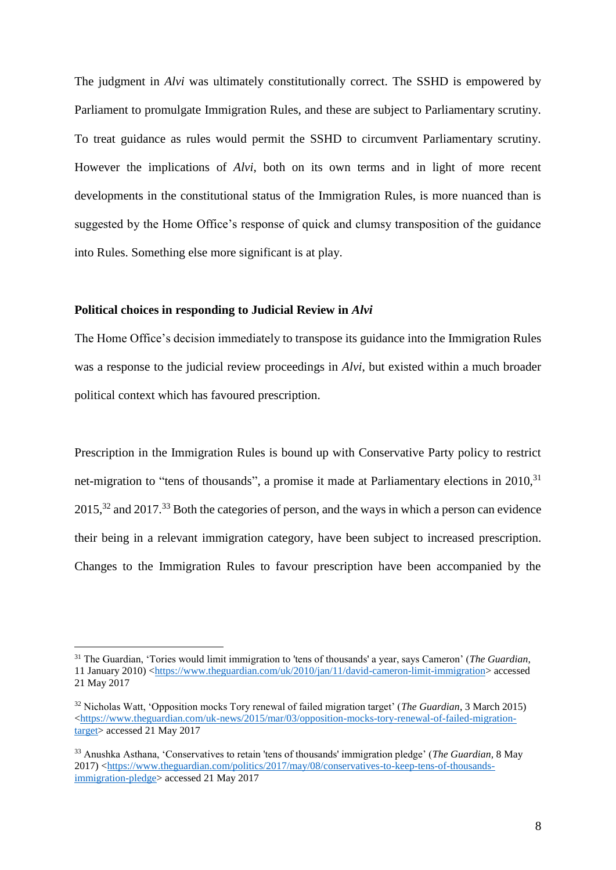The judgment in *Alvi* was ultimately constitutionally correct. The SSHD is empowered by Parliament to promulgate Immigration Rules, and these are subject to Parliamentary scrutiny. To treat guidance as rules would permit the SSHD to circumvent Parliamentary scrutiny. However the implications of *Alvi*, both on its own terms and in light of more recent developments in the constitutional status of the Immigration Rules, is more nuanced than is suggested by the Home Office's response of quick and clumsy transposition of the guidance into Rules. Something else more significant is at play.

# **Political choices in responding to Judicial Review in** *Alvi*

1

The Home Office's decision immediately to transpose its guidance into the Immigration Rules was a response to the judicial review proceedings in *Alvi*, but existed within a much broader political context which has favoured prescription.

Prescription in the Immigration Rules is bound up with Conservative Party policy to restrict net-migration to "tens of thousands", a promise it made at Parliamentary elections in  $2010$ ,  $31$  $2015$ <sup>32</sup> and  $2017$ <sup>33</sup> Both the categories of person, and the ways in which a person can evidence their being in a relevant immigration category, have been subject to increased prescription. Changes to the Immigration Rules to favour prescription have been accompanied by the

<sup>31</sup> The Guardian, 'Tories would limit immigration to 'tens of thousands' a year, says Cameron' (*The Guardian*, 11 January 2010) [<https://www.theguardian.com/uk/2010/jan/11/david-cameron-limit-immigration>](https://www.theguardian.com/uk/2010/jan/11/david-cameron-limit-immigration) accessed 21 May 2017

<sup>32</sup> Nicholas Watt, 'Opposition mocks Tory renewal of failed migration target' (*The Guardian*, 3 March 2015) [<https://www.theguardian.com/uk-news/2015/mar/03/opposition-mocks-tory-renewal-of-failed-migration](https://www.theguardian.com/uk-news/2015/mar/03/opposition-mocks-tory-renewal-of-failed-migration-target)[target>](https://www.theguardian.com/uk-news/2015/mar/03/opposition-mocks-tory-renewal-of-failed-migration-target) accessed 21 May 2017

<sup>33</sup> Anushka Asthana, 'Conservatives to retain 'tens of thousands' immigration pledge' (*The Guardian,* 8 May 2017) [<https://www.theguardian.com/politics/2017/may/08/conservatives-to-keep-tens-of-thousands](https://www.theguardian.com/politics/2017/may/08/conservatives-to-keep-tens-of-thousands-immigration-pledge)[immigration-pledge>](https://www.theguardian.com/politics/2017/may/08/conservatives-to-keep-tens-of-thousands-immigration-pledge) accessed 21 May 2017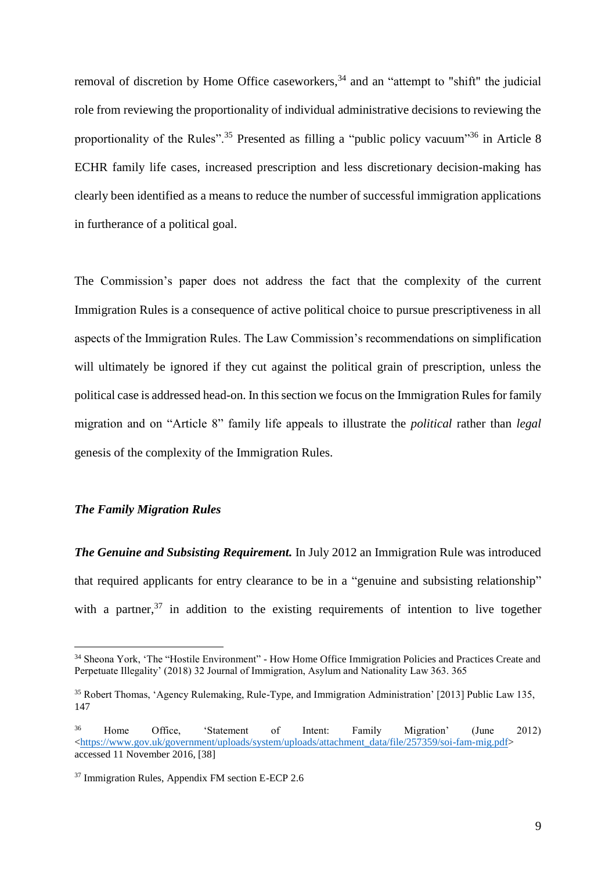removal of discretion by Home Office caseworkers,<sup>34</sup> and an "attempt to "shift" the judicial role from reviewing the proportionality of individual administrative decisions to reviewing the proportionality of the Rules".<sup>35</sup> Presented as filling a "public policy vacuum"<sup>36</sup> in Article 8 ECHR family life cases, increased prescription and less discretionary decision-making has clearly been identified as a means to reduce the number of successful immigration applications in furtherance of a political goal.

The Commission's paper does not address the fact that the complexity of the current Immigration Rules is a consequence of active political choice to pursue prescriptiveness in all aspects of the Immigration Rules. The Law Commission's recommendations on simplification will ultimately be ignored if they cut against the political grain of prescription, unless the political case is addressed head-on. In this section we focus on the Immigration Rules for family migration and on "Article 8" family life appeals to illustrate the *political* rather than *legal* genesis of the complexity of the Immigration Rules.

### *The Family Migration Rules*

1

*The Genuine and Subsisting Requirement.* In July 2012 an Immigration Rule was introduced that required applicants for entry clearance to be in a "genuine and subsisting relationship" with a partner,  $37$  in addition to the existing requirements of intention to live together

<sup>34</sup> Sheona York, 'The "Hostile Environment" - How Home Office Immigration Policies and Practices Create and Perpetuate Illegality' (2018) 32 Journal of Immigration, Asylum and Nationality Law 363. 365

<sup>35</sup> Robert Thomas, 'Agency Rulemaking, Rule-Type, and Immigration Administration' [2013] Public Law 135, 147

<sup>36</sup> Home Office, 'Statement of Intent: Family Migration' (June 2012) [<https://www.gov.uk/government/uploads/system/uploads/attachment\\_data/file/257359/soi-fam-mig.pdf>](https://www.gov.uk/government/uploads/system/uploads/attachment_data/file/257359/soi-fam-mig.pdf) accessed 11 November 2016, [38]

<sup>37</sup> Immigration Rules, Appendix FM section E-ECP 2.6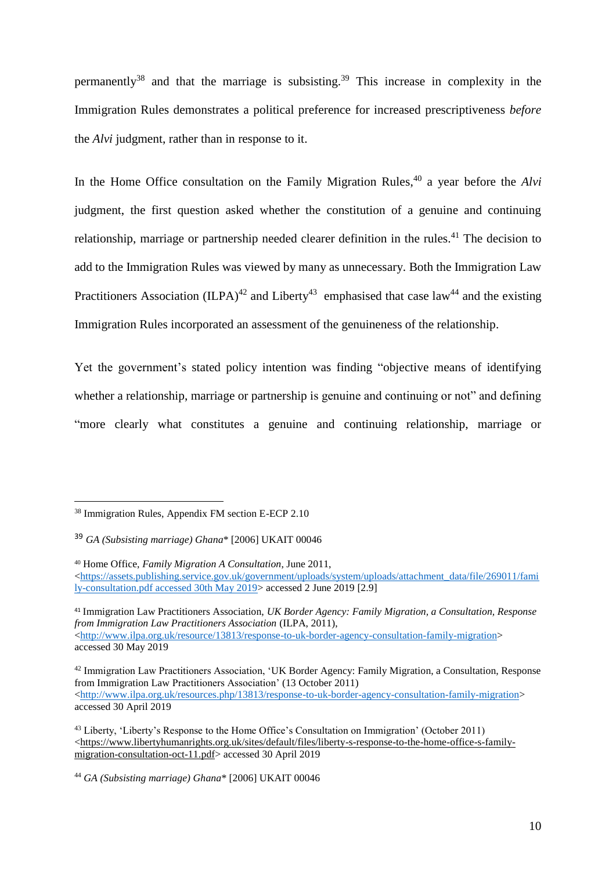permanently<sup>38</sup> and that the marriage is subsisting.<sup>39</sup> This increase in complexity in the Immigration Rules demonstrates a political preference for increased prescriptiveness *before* the *Alvi* judgment, rather than in response to it.

In the Home Office consultation on the Family Migration Rules,<sup>40</sup> a year before the *Alvi* judgment, the first question asked whether the constitution of a genuine and continuing relationship, marriage or partnership needed clearer definition in the rules.<sup>41</sup> The decision to add to the Immigration Rules was viewed by many as unnecessary. Both the Immigration Law Practitioners Association (ILPA)<sup>42</sup> and Liberty<sup>43</sup> emphasised that case law<sup>44</sup> and the existing Immigration Rules incorporated an assessment of the genuineness of the relationship.

Yet the government's stated policy intention was finding "objective means of identifying whether a relationship, marriage or partnership is genuine and continuing or not" and defining "more clearly what constitutes a genuine and continuing relationship, marriage or

1

<sup>41</sup> Immigration Law Practitioners Association, *UK Border Agency: Family Migration, a Consultation, Response from Immigration Law Practitioners Association* (ILPA, 2011), [<http://www.ilpa.org.uk/resource/13813/response-to-uk-border-agency-consultation-family-migration>](http://www.ilpa.org.uk/resource/13813/response-to-uk-border-agency-consultation-family-migration) accessed 30 May 2019

<sup>38</sup> Immigration Rules, Appendix FM section E-ECP 2.10

<sup>39</sup> *GA (Subsisting marriage) Ghana*\* [2006] UKAIT 00046

<sup>40</sup> Home Office, *Family Migration A Consultation*, June 2011, [<https://assets.publishing.service.gov.uk/government/uploads/system/uploads/attachment\\_data/file/269011/fami](https://assets.publishing.service.gov.uk/government/uploads/system/uploads/attachment_data/file/269011/family-consultation.pdf%20accessed%2030th%20May%202019) ly-consultation.pdf [accessed 30th May 2019>](https://assets.publishing.service.gov.uk/government/uploads/system/uploads/attachment_data/file/269011/family-consultation.pdf%20accessed%2030th%20May%202019) accessed 2 June 2019 [2.9]

<sup>42</sup> Immigration Law Practitioners Association, 'UK Border Agency: Family Migration, a Consultation, Response from Immigration Law Practitioners Association' (13 October 2011) [<http://www.ilpa.org.uk/resources.php/13813/response-to-uk-border-agency-consultation-family-migration>](http://www.ilpa.org.uk/resources.php/13813/response-to-uk-border-agency-consultation-family-migration) accessed 30 April 2019

<sup>43</sup> Liberty, 'Liberty's Response to the Home Office's Consultation on Immigration' (October 2011) [<https://www.libertyhumanrights.org.uk/sites/default/files/liberty-s-response-to-the-home-office-s-family](https://www.libertyhumanrights.org.uk/sites/default/files/liberty-s-response-to-the-home-office-s-family-migration-consultation-oct-11.pdf)[migration-consultation-oct-11.pdf>](https://www.libertyhumanrights.org.uk/sites/default/files/liberty-s-response-to-the-home-office-s-family-migration-consultation-oct-11.pdf) accessed 30 April 2019

<sup>44</sup> *GA (Subsisting marriage) Ghana*\* [2006] UKAIT 00046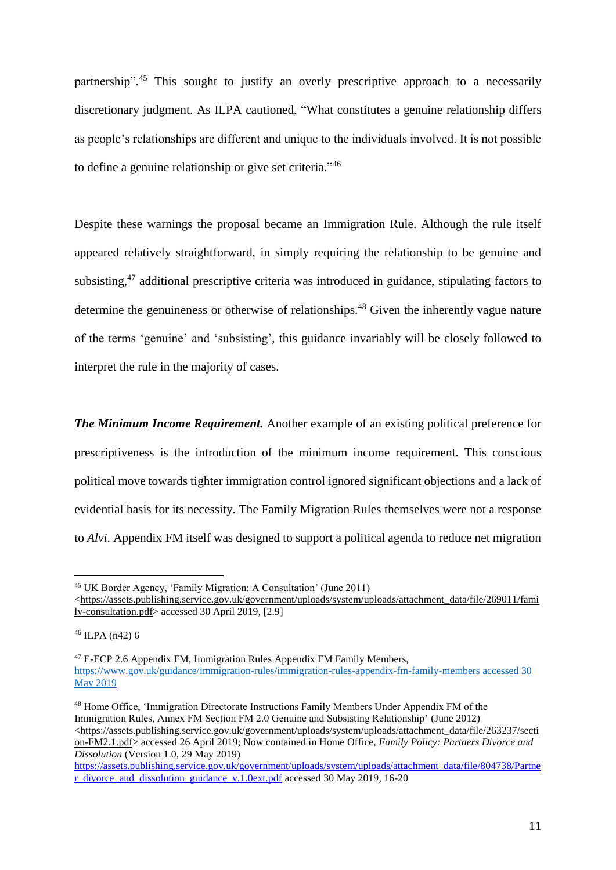partnership".<sup>45</sup> This sought to justify an overly prescriptive approach to a necessarily discretionary judgment. As ILPA cautioned, "What constitutes a genuine relationship differs as people's relationships are different and unique to the individuals involved. It is not possible to define a genuine relationship or give set criteria."<sup>46</sup>

Despite these warnings the proposal became an Immigration Rule. Although the rule itself appeared relatively straightforward, in simply requiring the relationship to be genuine and subsisting, $47$  additional prescriptive criteria was introduced in guidance, stipulating factors to determine the genuineness or otherwise of relationships.<sup>48</sup> Given the inherently vague nature of the terms 'genuine' and 'subsisting', this guidance invariably will be closely followed to interpret the rule in the majority of cases.

*The Minimum Income Requirement.* Another example of an existing political preference for prescriptiveness is the introduction of the minimum income requirement. This conscious political move towards tighter immigration control ignored significant objections and a lack of evidential basis for its necessity. The Family Migration Rules themselves were not a response to *Alvi*. Appendix FM itself was designed to support a political agenda to reduce net migration

1

<sup>48</sup> Home Office, 'Immigration Directorate Instructions Family Members Under Appendix FM of the Immigration Rules, Annex FM Section FM 2.0 Genuine and Subsisting Relationship' (June 2012)  $\langle$ https://assets.publishing.service.gov.uk/government/uploads/system/uploads/attachment\_data/file/263237/secti [on-FM2.1.pdf>](https://assets.publishing.service.gov.uk/government/uploads/system/uploads/attachment_data/file/263237/section-FM2.1.pdf) accessed 26 April 2019; Now contained in Home Office, *Family Policy: Partners Divorce and Dissolution* (Version 1.0, 29 May 2019)

<sup>45</sup> UK Border Agency, 'Family Migration: A Consultation' (June 2011)

[<sup>&</sup>lt;https://assets.publishing.service.gov.uk/government/uploads/system/uploads/attachment\\_data/file/269011/fami](https://assets.publishing.service.gov.uk/government/uploads/system/uploads/attachment_data/file/269011/family-consultation.pdf) [ly-consultation.pdf>](https://assets.publishing.service.gov.uk/government/uploads/system/uploads/attachment_data/file/269011/family-consultation.pdf) accessed 30 April 2019, [2.9]

<sup>46</sup> ILPA (n42) 6

<sup>47</sup> E-ECP 2.6 Appendix FM, Immigration Rules Appendix FM Family Members, [https://www.gov.uk/guidance/immigration-rules/immigration-rules-appendix-fm-family-members](https://www.gov.uk/guidance/immigration-rules/immigration-rules-appendix-fm-family-members%20accessed%2030%20May%202019) accessed 30 [May 2019](https://www.gov.uk/guidance/immigration-rules/immigration-rules-appendix-fm-family-members%20accessed%2030%20May%202019)

[https://assets.publishing.service.gov.uk/government/uploads/system/uploads/attachment\\_data/file/804738/Partne](https://assets.publishing.service.gov.uk/government/uploads/system/uploads/attachment_data/file/804738/Partner_divorce_and_dissolution_guidance_v.1.0ext.pdf) [r\\_divorce\\_and\\_dissolution\\_guidance\\_v.1.0ext.pdf](https://assets.publishing.service.gov.uk/government/uploads/system/uploads/attachment_data/file/804738/Partner_divorce_and_dissolution_guidance_v.1.0ext.pdf) accessed 30 May 2019, 16-20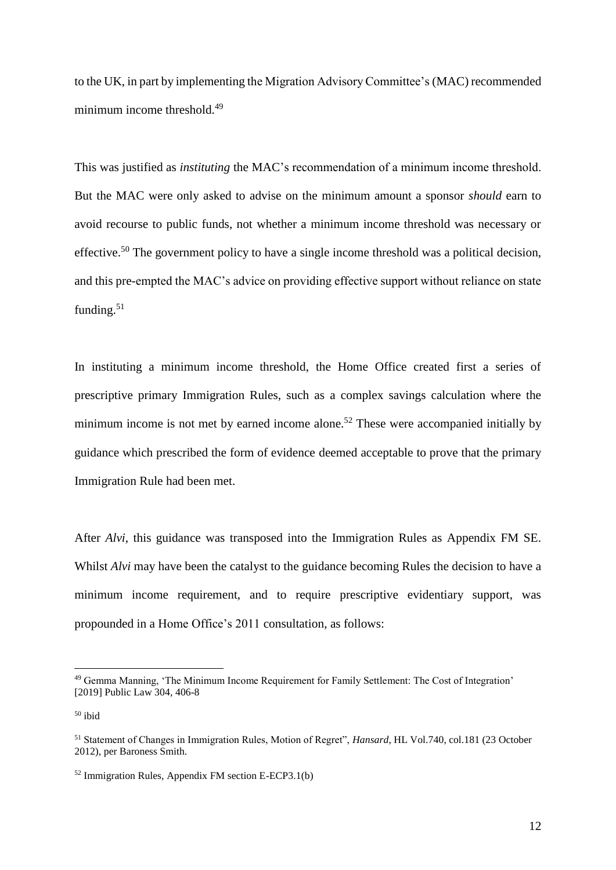to the UK, in part by implementing the Migration Advisory Committee's (MAC) recommended minimum income threshold.<sup>49</sup>

This was justified as *[instituting](https://www.gov.uk/government/uploads/system/uploads/attachment_data/file/257359/soi-fam-mig.pdf)* the MAC's recommendation of a minimum income threshold. But the MAC were only asked to advise on the minimum amount a sponsor *should* earn to avoid recourse to public funds, not whether a minimum income threshold was necessary or effective.<sup>50</sup> The government policy to have a single income threshold was a political decision, and this pre-empted the MAC's advice on providing effective support without reliance on state funding.<sup>51</sup>

In instituting a minimum income threshold, the Home Office created first a series of prescriptive primary Immigration Rules, such as a complex savings calculation where the minimum income is not met by earned income alone.<sup>52</sup> These were accompanied initially by guidance which prescribed the form of evidence deemed acceptable to prove that the primary Immigration Rule had been met.

After *Alvi*, this guidance was transposed into the Immigration Rules as Appendix FM SE. Whilst *Alvi* may have been the catalyst to the guidance becoming Rules the decision to have a minimum income requirement, and to require prescriptive evidentiary support, was propounded in a Home Office's 2011 consultation, as follows:

<sup>&</sup>lt;sup>49</sup> Gemma Manning, 'The Minimum Income Requirement for Family Settlement: The Cost of Integration' [2019] Public Law 304, 406-8

 $50$  ibid

<sup>51</sup> Statement of Changes in Immigration Rules, Motion of Regret", *Hansard*, HL Vol.740, col.181 (23 October 2012), per Baroness Smith.

 $52$  Immigration Rules, Appendix FM section E-ECP3.1(b)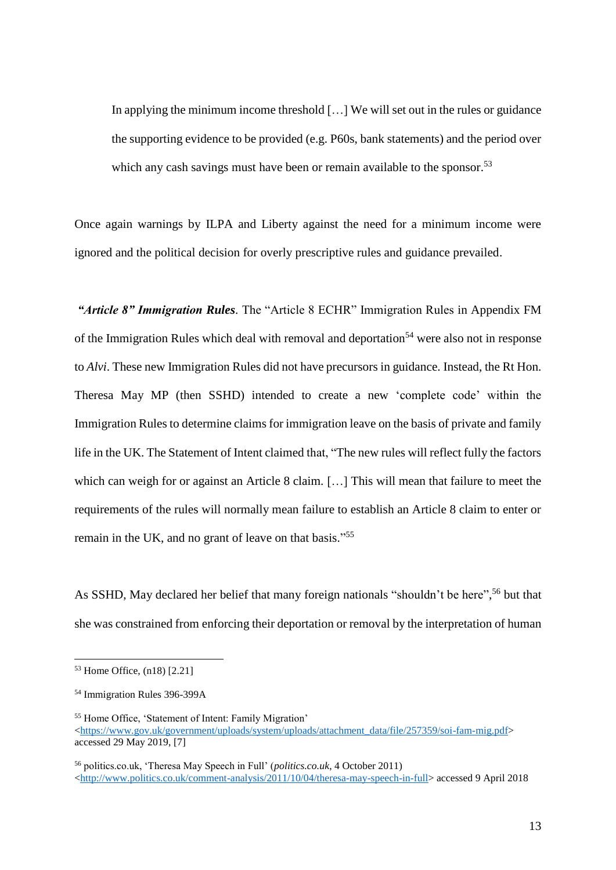In applying the minimum income threshold […] We will set out in the rules or guidance the supporting evidence to be provided (e.g. P60s, bank statements) and the period over which any cash savings must have been or remain available to the sponsor.<sup>53</sup>

Once again warnings by ILPA and Liberty against the need for a minimum income were ignored and the political decision for overly prescriptive rules and guidance prevailed.

*"Article 8" Immigration Rules*. The "Article 8 ECHR" Immigration Rules in Appendix FM of the Immigration Rules which deal with removal and deportation<sup>54</sup> were also not in response to *Alvi*. These new Immigration Rules did not have precursors in guidance. Instead, the Rt Hon. Theresa May MP (then SSHD) intended to create a new 'complete code' within the Immigration Rules to determine claims for immigration leave on the basis of private and family life in the UK. The Statement of Intent claimed that, "The new rules will reflect fully the factors which can weigh for or against an Article 8 claim. [...] This will mean that failure to meet the requirements of the rules will normally mean failure to establish an Article 8 claim to enter or remain in the UK, and no grant of leave on that basis."<sup>55</sup>

As SSHD, May declared her belief that many foreign nationals "shouldn't be here", <sup>56</sup> but that she was constrained from enforcing their deportation or removal by the interpretation of human

<sup>53</sup> Home Office, (n18) [2.21]

<sup>54</sup> Immigration Rules 396-399A

<sup>55</sup> Home Office, 'Statement of Intent: Family Migration' [<https://www.gov.uk/government/uploads/system/uploads/attachment\\_data/file/257359/soi-fam-mig.pdf>](https://www.gov.uk/government/uploads/system/uploads/attachment_data/file/257359/soi-fam-mig.pdf) accessed 29 May 2019, [7]

<sup>56</sup> politics.co.uk, 'Theresa May Speech in Full' (*politics.co.uk*, 4 October 2011) [<http://www.politics.co.uk/comment-analysis/2011/10/04/theresa-may-speech-in-full>](http://www.politics.co.uk/comment-analysis/2011/10/04/theresa-may-speech-in-full) accessed 9 April 2018